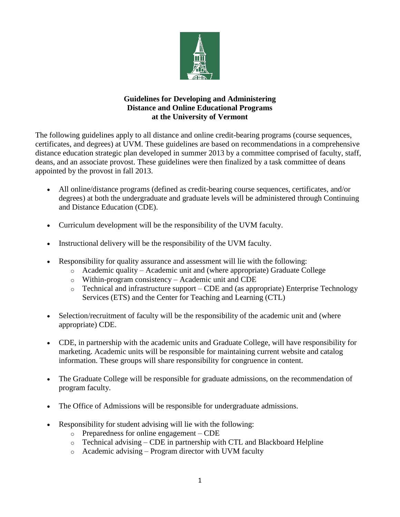

## **Guidelines for Developing and Administering Distance and Online Educational Programs at the University of Vermont**

The following guidelines apply to all distance and online credit-bearing programs (course sequences, certificates, and degrees) at UVM. These guidelines are based on recommendations in a comprehensive distance education strategic plan developed in summer 2013 by a committee comprised of faculty, staff, deans, and an associate provost. These guidelines were then finalized by a task committee of deans appointed by the provost in fall 2013.

- All online/distance programs (defined as credit-bearing course sequences, certificates, and/or degrees) at both the undergraduate and graduate levels will be administered through Continuing and Distance Education (CDE).
- Curriculum development will be the responsibility of the UVM faculty.
- Instructional delivery will be the responsibility of the UVM faculty.
- Responsibility for quality assurance and assessment will lie with the following:
	- o Academic quality Academic unit and (where appropriate) Graduate College
	- o Within-program consistency Academic unit and CDE
	- $\circ$  Technical and infrastructure support CDE and (as appropriate) Enterprise Technology Services (ETS) and the Center for Teaching and Learning (CTL)
- Selection/recruitment of faculty will be the responsibility of the academic unit and (where appropriate) CDE.
- CDE, in partnership with the academic units and Graduate College, will have responsibility for marketing. Academic units will be responsible for maintaining current website and catalog information. These groups will share responsibility for congruence in content.
- The Graduate College will be responsible for graduate admissions, on the recommendation of program faculty.
- The Office of Admissions will be responsible for undergraduate admissions.
- Responsibility for student advising will lie with the following:
	- o Preparedness for online engagement CDE
	- $\circ$  Technical advising CDE in partnership with CTL and Blackboard Helpline
	- $\circ$  Academic advising Program director with UVM faculty